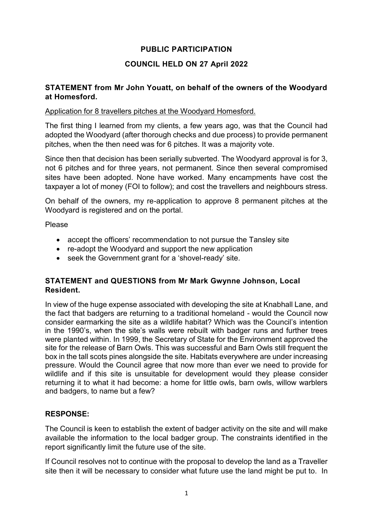## **PUBLIC PARTICIPATION**

# **COUNCIL HELD ON 27 April 2022**

### **STATEMENT from Mr John Youatt, on behalf of the owners of the Woodyard at Homesford.**

#### Application for 8 travellers pitches at the Woodyard Homesford.

The first thing I learned from my clients, a few years ago, was that the Council had adopted the Woodyard (after thorough checks and due process) to provide permanent pitches, when the then need was for 6 pitches. It was a majority vote.

Since then that decision has been serially subverted. The Woodyard approval is for 3, not 6 pitches and for three years, not permanent. Since then several compromised sites have been adopted. None have worked. Many encampments have cost the taxpayer a lot of money (FOI to follow); and cost the travellers and neighbours stress.

On behalf of the owners, my re-application to approve 8 permanent pitches at the Woodyard is registered and on the portal.

Please

- accept the officers' recommendation to not pursue the Tansley site
- re-adopt the Woodyard and support the new application
- seek the Government grant for a 'shovel-ready' site.

# **STATEMENT and QUESTIONS from Mr Mark Gwynne Johnson, Local Resident.**

In view of the huge expense associated with developing the site at Knabhall Lane, and the fact that badgers are returning to a traditional homeland - would the Council now consider earmarking the site as a wildlife habitat? Which was the Council's intention in the 1990's, when the site's walls were rebuilt with badger runs and further trees were planted within. In 1999, the Secretary of State for the Environment approved the site for the release of Barn Owls. This was successful and Barn Owls still frequent the box in the tall scots pines alongside the site. Habitats everywhere are under increasing pressure. Would the Council agree that now more than ever we need to provide for wildlife and if this site is unsuitable for development would they please consider returning it to what it had become: a home for little owls, barn owls, willow warblers and badgers, to name but a few?

## **RESPONSE:**

The Council is keen to establish the extent of badger activity on the site and will make available the information to the local badger group. The constraints identified in the report significantly limit the future use of the site.

If Council resolves not to continue with the proposal to develop the land as a Traveller site then it will be necessary to consider what future use the land might be put to. In